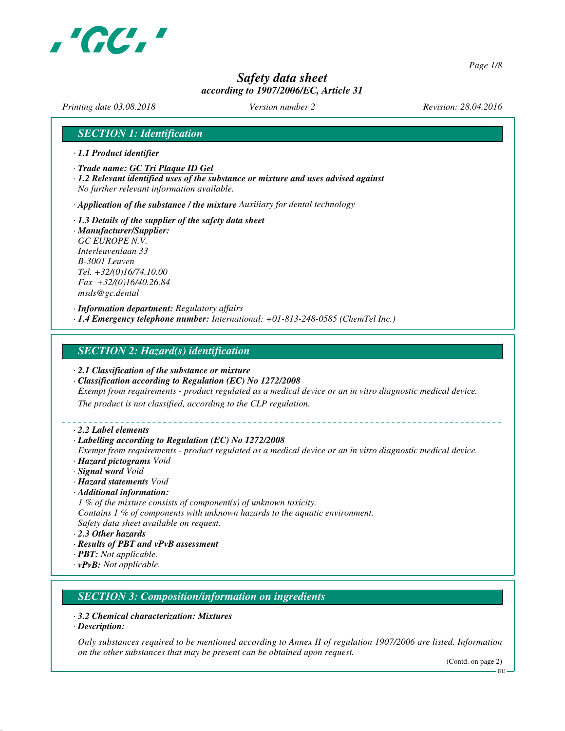

*Page 1/8*

# *Safety data sheet according to 1907/2006/EC, Article 31*

*Printing date 03.08.2018 Version number 2 Revision: 28.04.2016*

### *SECTION 1: Identification*

- *· 1.1 Product identifier*
- *· Trade name: GC Tri Plaque ID Gel*
- *· 1.2 Relevant identified uses of the substance or mixture and uses advised against No further relevant information available.*

*· Application of the substance / the mixture Auxiliary for dental technology*

- *· 1.3 Details of the supplier of the safety data sheet · Manufacturer/Supplier: GC EUROPE N.V.*
- *Interleuvenlaan 33 B-3001 Leuven Tel. +32/(0)16/74.10.00 Fax +32/(0)16/40.26.84 msds@gc.dental*

*· Information department: Regulatory affairs · 1.4 Emergency telephone number: International: +01-813-248-0585 (ChemTel Inc.)*

### *SECTION 2: Hazard(s) identification*

- *· 2.1 Classification of the substance or mixture*
- *· Classification according to Regulation (EC) No 1272/2008*

*Exempt from requirements - product regulated as a medical device or an in vitro diagnostic medical device.*

*The product is not classified, according to the CLP regulation.*

*· 2.2 Label elements*

#### *· Labelling according to Regulation (EC) No 1272/2008*

*Exempt from requirements - product regulated as a medical device or an in vitro diagnostic medical device. · Hazard pictograms Void*

- *· Signal word Void*
- *· Hazard statements Void*
- *· Additional information:*
- *1 % of the mixture consists of component(s) of unknown toxicity.*
- *Contains 1 % of components with unknown hazards to the aquatic environment. Safety data sheet available on request.*
- *· 2.3 Other hazards*
- *· Results of PBT and vPvB assessment*
- *· PBT: Not applicable.*
- *· vPvB: Not applicable.*

### *SECTION 3: Composition/information on ingredients*

- *· 3.2 Chemical characterization: Mixtures*
- *· Description:*

*Only substances required to be mentioned according to Annex II of regulation 1907/2006 are listed. Information on the other substances that may be present can be obtained upon request.*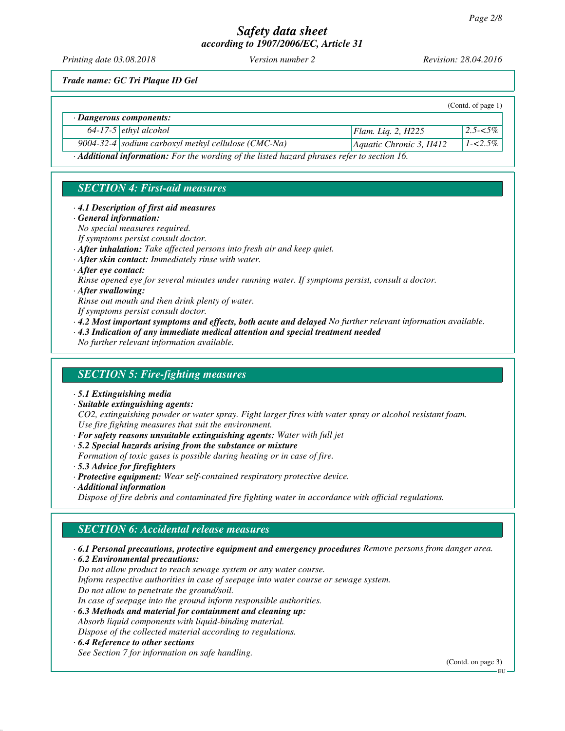*Printing date 03.08.2018 Version number 2 Revision: 28.04.2016*

*Trade name: GC Tri Plaque ID Gel*

|                                                                                             |                                                     |                           | (Contd. of page $1$ ) |  |  |
|---------------------------------------------------------------------------------------------|-----------------------------------------------------|---------------------------|-----------------------|--|--|
| $\cdot$ Dangerous components:                                                               |                                                     |                           |                       |  |  |
|                                                                                             | $64-17-5$ ethyl alcohol                             | Flam. Lig. 2, $H225$      | $2.5 - 5\%$           |  |  |
|                                                                                             | 9004-32-4 sodium carboxyl methyl cellulose (CMC-Na) | Aquatic Chronic 3, $H412$ | $1 - 2.5\%$           |  |  |
| · Additional information: For the wording of the listed hazard phrases refer to section 16. |                                                     |                           |                       |  |  |

## *SECTION 4: First-aid measures*

- *· 4.1 Description of first aid measures*
- *· General information:*

*No special measures required.*

- *If symptoms persist consult doctor.*
- *· After inhalation: Take affected persons into fresh air and keep quiet.*
- *· After skin contact: Immediately rinse with water.*

*· After eye contact:*

*Rinse opened eye for several minutes under running water. If symptoms persist, consult a doctor.*

### *· After swallowing:*

- *Rinse out mouth and then drink plenty of water.*
- *If symptoms persist consult doctor.*
- *· 4.2 Most important symptoms and effects, both acute and delayed No further relevant information available.*
- *· 4.3 Indication of any immediate medical attention and special treatment needed*

*No further relevant information available.*

## *SECTION 5: Fire-fighting measures*

- *· 5.1 Extinguishing media*
- *· Suitable extinguishing agents:*

*CO2, extinguishing powder or water spray. Fight larger fires with water spray or alcohol resistant foam. Use fire fighting measures that suit the environment.*

- *· For safety reasons unsuitable extinguishing agents: Water with full jet*
- *· 5.2 Special hazards arising from the substance or mixture*
- *Formation of toxic gases is possible during heating or in case of fire.*
- *· 5.3 Advice for firefighters*
- *· Protective equipment: Wear self-contained respiratory protective device. · Additional information*

*Dispose of fire debris and contaminated fire fighting water in accordance with official regulations.*

# *SECTION 6: Accidental release measures*

- *· 6.1 Personal precautions, protective equipment and emergency procedures Remove persons from danger area.*
- *· 6.2 Environmental precautions:*
- *Do not allow product to reach sewage system or any water course.*
- *Inform respective authorities in case of seepage into water course or sewage system.*
- *Do not allow to penetrate the ground/soil.*
- *In case of seepage into the ground inform responsible authorities.*
- *· 6.3 Methods and material for containment and cleaning up: Absorb liquid components with liquid-binding material.*

*Dispose of the collected material according to regulations.*

*· 6.4 Reference to other sections*

*See Section 7 for information on safe handling.*

(Contd. on page 3)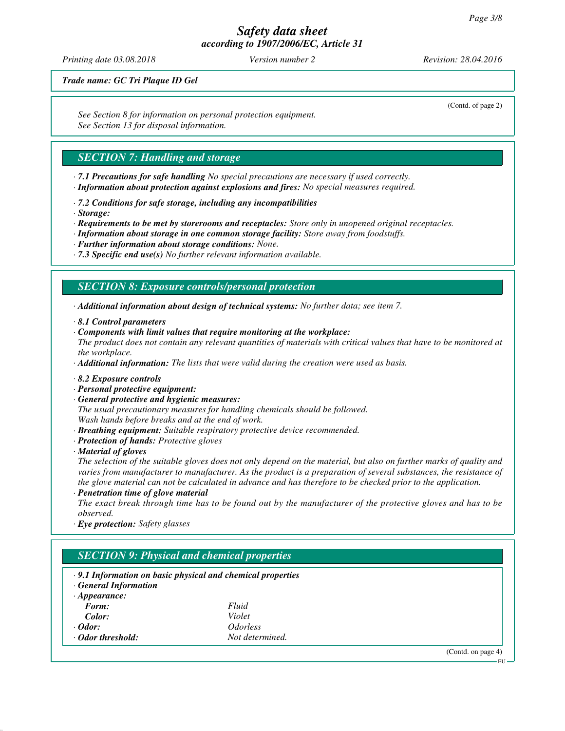*Printing date 03.08.2018 Version number 2 Revision: 28.04.2016*

(Contd. of page 2)

*Trade name: GC Tri Plaque ID Gel*

*See Section 8 for information on personal protection equipment. See Section 13 for disposal information.*

## *SECTION 7: Handling and storage*

- *· 7.1 Precautions for safe handling No special precautions are necessary if used correctly.*
- *· Information about protection against explosions and fires: No special measures required.*
- *· 7.2 Conditions for safe storage, including any incompatibilities*
- *· Storage:*
- *· Requirements to be met by storerooms and receptacles: Store only in unopened original receptacles.*
- *· Information about storage in one common storage facility: Store away from foodstuffs.*
- *· Further information about storage conditions: None.*
- *· 7.3 Specific end use(s) No further relevant information available.*

### *SECTION 8: Exposure controls/personal protection*

*· Additional information about design of technical systems: No further data; see item 7.*

- *· 8.1 Control parameters*
- *· Components with limit values that require monitoring at the workplace:*
- *The product does not contain any relevant quantities of materials with critical values that have to be monitored at the workplace.*

*· Additional information: The lists that were valid during the creation were used as basis.*

- *· 8.2 Exposure controls*
- *· Personal protective equipment:*
- *· General protective and hygienic measures:*

*The usual precautionary measures for handling chemicals should be followed. Wash hands before breaks and at the end of work.*

- *· Breathing equipment: Suitable respiratory protective device recommended.*
- *· Protection of hands: Protective gloves*
- *· Material of gloves*

*The selection of the suitable gloves does not only depend on the material, but also on further marks of quality and varies from manufacturer to manufacturer. As the product is a preparation of several substances, the resistance of the glove material can not be calculated in advance and has therefore to be checked prior to the application.*

*· Penetration time of glove material*

*The exact break through time has to be found out by the manufacturer of the protective gloves and has to be observed.*

*· Eye protection: Safety glasses*

| <b>General Information</b> | $\cdot$ 9.1 Information on basic physical and chemical properties |  |
|----------------------------|-------------------------------------------------------------------|--|
| $\cdot$ Appearance:        |                                                                   |  |
| Form:                      | Fluid                                                             |  |
| Color:                     | Violet                                                            |  |
| $\cdot$ Odor:              | <i><u><b>Odorless</b></u></i>                                     |  |
| Odor threshold:            | Not determined.                                                   |  |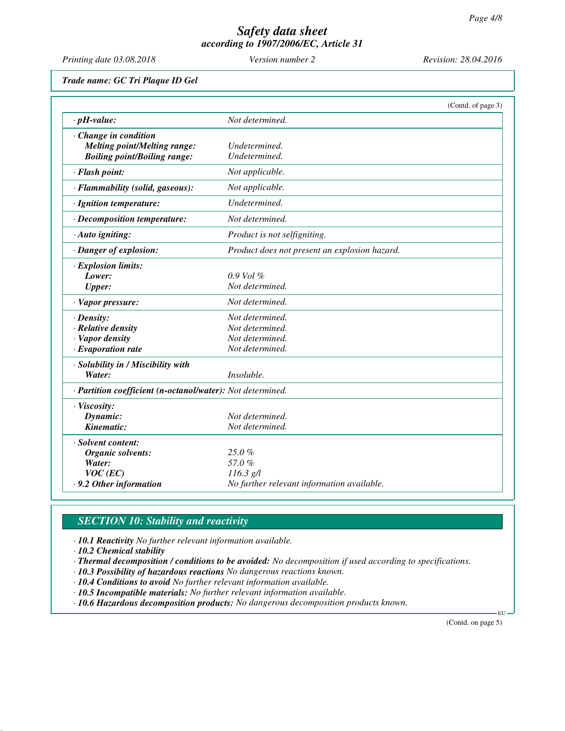*Printing date 03.08.2018 Version number 2 Revision: 28.04.2016*

*Trade name: GC Tri Plaque ID Gel*

|                                                            |                                               | (Contd. of page 3) |
|------------------------------------------------------------|-----------------------------------------------|--------------------|
| $\cdot$ pH-value:                                          | Not determined.                               |                    |
| Change in condition                                        |                                               |                    |
| <b>Melting point/Melting range:</b>                        | Undetermined.                                 |                    |
| <b>Boiling point/Boiling range:</b>                        | Undetermined.                                 |                    |
| · Flash point:                                             | Not applicable.                               |                    |
| · Flammability (solid, gaseous):                           | Not applicable.                               |                    |
| · Ignition temperature:                                    | Undetermined.                                 |                    |
| · Decomposition temperature:                               | Not determined.                               |                    |
| · Auto igniting:                                           | Product is not selfigniting.                  |                    |
| · Danger of explosion:                                     | Product does not present an explosion hazard. |                    |
| · Explosion limits:                                        |                                               |                    |
| Lower:                                                     | $0.9$ Vol $\%$                                |                    |
| <b>Upper:</b>                                              | Not determined.                               |                    |
| · Vapor pressure:                                          | Not determined.                               |                    |
| $\cdot$ Density:                                           | Not determined.                               |                    |
| $\cdot$ Relative density                                   | Not determined.                               |                    |
| · Vapor density                                            | Not determined.                               |                    |
| $\cdot$ Evaporation rate                                   | Not determined.                               |                    |
| · Solubility in / Miscibility with                         |                                               |                    |
| Water:                                                     | Insoluble.                                    |                    |
| · Partition coefficient (n-octanol/water): Not determined. |                                               |                    |
| · Viscosity:                                               |                                               |                    |
| Dynamic:                                                   | Not determined.                               |                    |
| Kinematic:                                                 | Not determined.                               |                    |
| Solvent content:                                           |                                               |                    |
| Organic solvents:                                          | 25.0%                                         |                    |
| Water:                                                     | 57.0%                                         |                    |
| $VOC$ (EC)                                                 | $116.3$ g/l                                   |                    |
| .9.2 Other information                                     | No further relevant information available.    |                    |

# *SECTION 10: Stability and reactivity*

*· 10.1 Reactivity No further relevant information available.*

*· 10.2 Chemical stability*

*· Thermal decomposition / conditions to be avoided: No decomposition if used according to specifications.*

- *· 10.3 Possibility of hazardous reactions No dangerous reactions known.*
- *· 10.4 Conditions to avoid No further relevant information available.*
- *· 10.5 Incompatible materials: No further relevant information available.*

*· 10.6 Hazardous decomposition products: No dangerous decomposition products known.*

(Contd. on page 5)

EU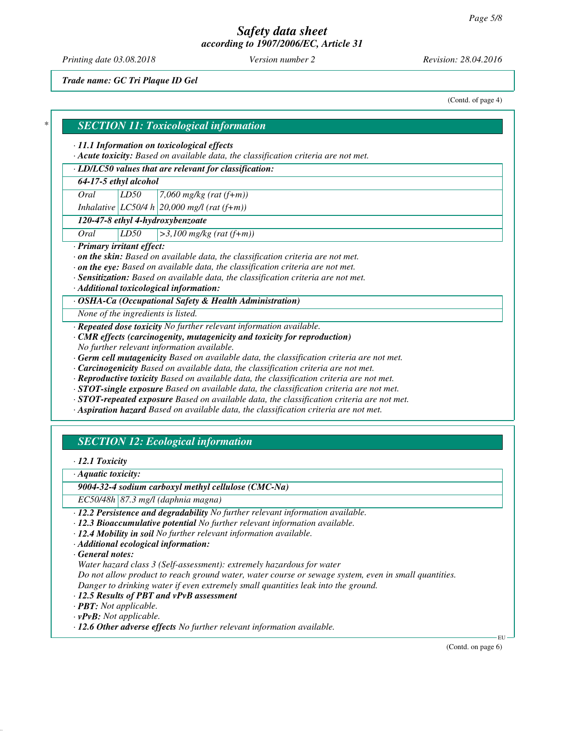*Printing date 03.08.2018 Version number 2 Revision: 28.04.2016*

*Trade name: GC Tri Plaque ID Gel*

(Contd. of page 4)

### *\* SECTION 11: Toxicological information*

#### *· 11.1 Information on toxicological effects*

*· Acute toxicity: Based on available data, the classification criteria are not met.*

### *· LD/LC50 values that are relevant for classification:*

### *64-17-5 ethyl alcohol*

*Oral LD50 7,060 mg/kg (rat (f+m))*

*Inhalative LC50/4 h 20,000 mg/l (rat (f+m))*

### *120-47-8 ethyl 4-hydroxybenzoate*

*Oral LD50 >3,100 mg/kg (rat (f+m))*

#### *· Primary irritant effect:*

*· on the skin: Based on available data, the classification criteria are not met.*

- *· on the eye: Based on available data, the classification criteria are not met.*
- *· Sensitization: Based on available data, the classification criteria are not met.*

*· Additional toxicological information:*

*· OSHA-Ca (Occupational Safety & Health Administration)*

*None of the ingredients is listed.*

*· Repeated dose toxicity No further relevant information available.*

- *· CMR effects (carcinogenity, mutagenicity and toxicity for reproduction) No further relevant information available.*
- *· Germ cell mutagenicity Based on available data, the classification criteria are not met.*
- *· Carcinogenicity Based on available data, the classification criteria are not met.*
- *· Reproductive toxicity Based on available data, the classification criteria are not met.*
- *· STOT-single exposure Based on available data, the classification criteria are not met.*
- *· STOT-repeated exposure Based on available data, the classification criteria are not met.*
- *· Aspiration hazard Based on available data, the classification criteria are not met.*

## *SECTION 12: Ecological information*

*· 12.1 Toxicity*

*· Aquatic toxicity:*

*9004-32-4 sodium carboxyl methyl cellulose (CMC-Na)*

*EC50/48h 87.3 mg/l (daphnia magna)*

- *· 12.2 Persistence and degradability No further relevant information available.*
- *· 12.3 Bioaccumulative potential No further relevant information available.*
- *· 12.4 Mobility in soil No further relevant information available.*
- *· Additional ecological information:*

*· General notes:*

*Water hazard class 3 (Self-assessment): extremely hazardous for water*

*Do not allow product to reach ground water, water course or sewage system, even in small quantities. Danger to drinking water if even extremely small quantities leak into the ground.*

- *· 12.5 Results of PBT and vPvB assessment*
- *· PBT: Not applicable.*

*· vPvB: Not applicable.*

*· 12.6 Other adverse effects No further relevant information available.*

(Contd. on page 6)

EU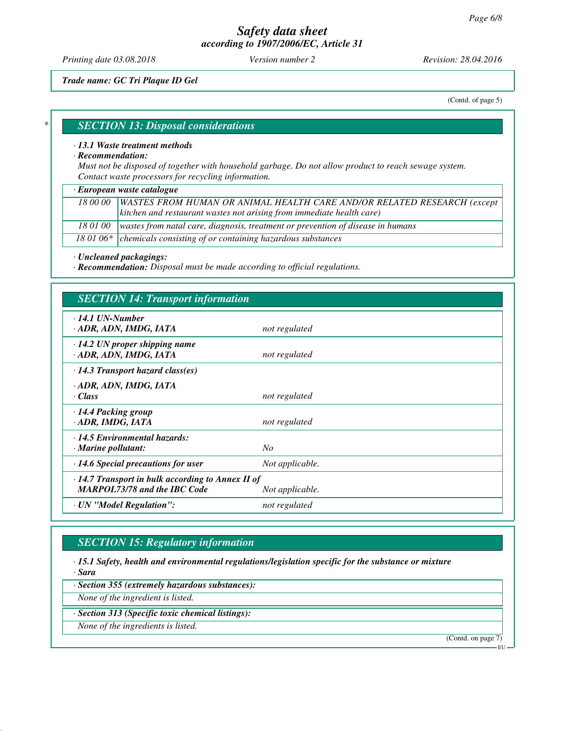*Printing date 03.08.2018 Version number 2 Revision: 28.04.2016*

*Trade name: GC Tri Plaque ID Gel*

(Contd. of page 5)

#### *\* SECTION 13: Disposal considerations*

#### *· 13.1 Waste treatment methods*

#### *· Recommendation:*

*Must not be disposed of together with household garbage. Do not allow product to reach sewage system. Contact waste processors for recycling information.*

#### *· European waste catalogue*

| 18 00 00   WASTES FROM HUMAN OR ANIMAL HEALTH CARE AND/OR RELATED RESEARCH (except       |
|------------------------------------------------------------------------------------------|
| $\vert$ kitchen and restaurant wastes not arising from immediate health care)            |
| 18 01 00 wastes from natal care, diagnosis, treatment or prevention of disease in humans |

18 01 06\* chemicals consisting of or containing hazardous substances

*· Uncleaned packagings:*

*· Recommendation: Disposal must be made according to official regulations.*

# *SECTION 14: Transport information*

| $\cdot$ 14.1 UN-Number<br>· ADR, ADN, IMDG, IATA                                                                  | not regulated   |  |  |
|-------------------------------------------------------------------------------------------------------------------|-----------------|--|--|
| $\cdot$ 14.2 UN proper shipping name<br>· ADR, ADN, IMDG, IATA                                                    | not regulated   |  |  |
| $\cdot$ 14.3 Transport hazard class(es)                                                                           |                 |  |  |
| · ADR, ADN, IMDG, IATA<br>· Class                                                                                 | not regulated   |  |  |
| $\cdot$ 14.4 Packing group<br>· ADR, IMDG, IATA                                                                   | not regulated   |  |  |
| · 14.5 Environmental hazards:<br>$\cdot$ Marine pollutant:                                                        | No              |  |  |
| $\cdot$ 14.6 Special precautions for user                                                                         | Not applicable. |  |  |
| $\cdot$ 14.7 Transport in bulk according to Annex II of<br><b>MARPOL73/78 and the IBC Code</b><br>Not applicable. |                 |  |  |
| · UN "Model Regulation":                                                                                          | not regulated   |  |  |
|                                                                                                                   |                 |  |  |

## *SECTION 15: Regulatory information*

*· 15.1 Safety, health and environmental regulations/legislation specific for the substance or mixture · Sara*

*· Section 355 (extremely hazardous substances):*

*None of the ingredient is listed.*

*· Section 313 (Specific toxic chemical listings):*

*None of the ingredients is listed.*

(Contd. on page 7)

EU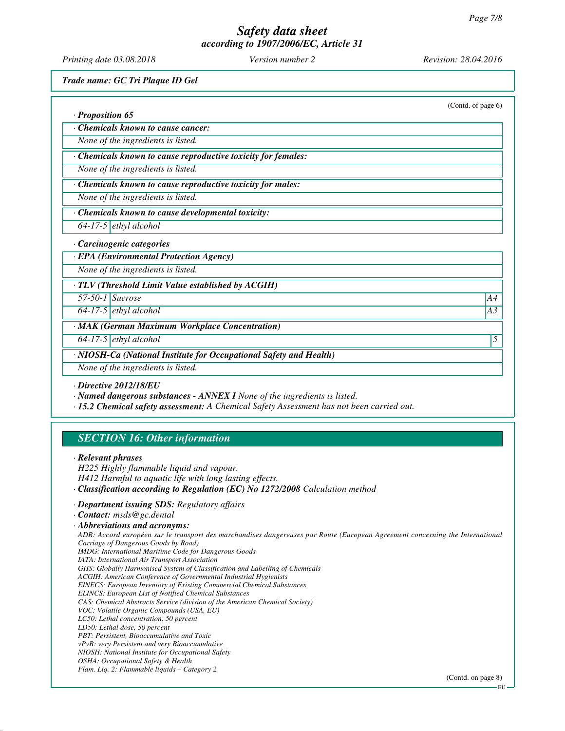*Printing date 03.08.2018 Version number 2 Revision: 28.04.2016*

*Trade name: GC Tri Plaque ID Gel*

|                                                                                                                                                                                                        | (Contd. of page 6) |
|--------------------------------------------------------------------------------------------------------------------------------------------------------------------------------------------------------|--------------------|
| · Proposition 65                                                                                                                                                                                       |                    |
| Chemicals known to cause cancer:                                                                                                                                                                       |                    |
| None of the ingredients is listed.                                                                                                                                                                     |                    |
| · Chemicals known to cause reproductive toxicity for females:                                                                                                                                          |                    |
| None of the ingredients is listed.                                                                                                                                                                     |                    |
| · Chemicals known to cause reproductive toxicity for males:                                                                                                                                            |                    |
| None of the ingredients is listed.                                                                                                                                                                     |                    |
| · Chemicals known to cause developmental toxicity:                                                                                                                                                     |                    |
| $64-17-5$ ethyl alcohol                                                                                                                                                                                |                    |
| · Carcinogenic categories                                                                                                                                                                              |                    |
| · EPA (Environmental Protection Agency)                                                                                                                                                                |                    |
| None of the ingredients is listed.                                                                                                                                                                     |                    |
| · TLV (Threshold Limit Value established by ACGIH)                                                                                                                                                     |                    |
| $57-50-1$ Sucrose                                                                                                                                                                                      | A4                 |
| $\overline{64-17-5}$ ethyl alcohol                                                                                                                                                                     | A <sub>3</sub>     |
| · MAK (German Maximum Workplace Concentration)                                                                                                                                                         |                    |
| $64-17-5$ ethyl alcohol                                                                                                                                                                                | 5                  |
| · NIOSH-Ca (National Institute for Occupational Safety and Health)                                                                                                                                     |                    |
| None of the ingredients is listed.                                                                                                                                                                     |                    |
| $\cdot$ Directive 2012/18/EU<br>· Named dangerous substances - ANNEX I None of the ingredients is listed.<br>· 15.2 Chemical safety assessment: A Chemical Safety Assessment has not been carried out. |                    |
| <b>SECTION 16: Other information</b>                                                                                                                                                                   |                    |
| · Relevant phrases<br>H225 Highly flammable liquid and vapour.                                                                                                                                         |                    |

*H412 Harmful to aquatic life with long lasting effects.*

*· Classification according to Regulation (EC) No 1272/2008 Calculation method*

*· Department issuing SDS: Regulatory affairs*

*· Contact: msds@gc.dental*

*· Abbreviations and acronyms:*

*ADR: Accord européen sur le transport des marchandises dangereuses par Route (European Agreement concerning the International Carriage of Dangerous Goods by Road) IMDG: International Maritime Code for Dangerous Goods IATA: International Air Transport Association*

*GHS: Globally Harmonised System of Classification and Labelling of Chemicals*

*ACGIH: American Conference of Governmental Industrial Hygienists*

*EINECS: European Inventory of Existing Commercial Chemical Substances*

*ELINCS: European List of Notified Chemical Substances*

*CAS: Chemical Abstracts Service (division of the American Chemical Society)*

*VOC: Volatile Organic Compounds (USA, EU)*

*LC50: Lethal concentration, 50 percent*

*LD50: Lethal dose, 50 percent*

*PBT: Persistent, Bioaccumulative and Toxic*

*vPvB: very Persistent and very Bioaccumulative*

*NIOSH: National Institute for Occupational Safety OSHA: Occupational Safety & Health*

*Flam. Liq. 2: Flammable liquids – Category 2*

(Contd. on page 8)